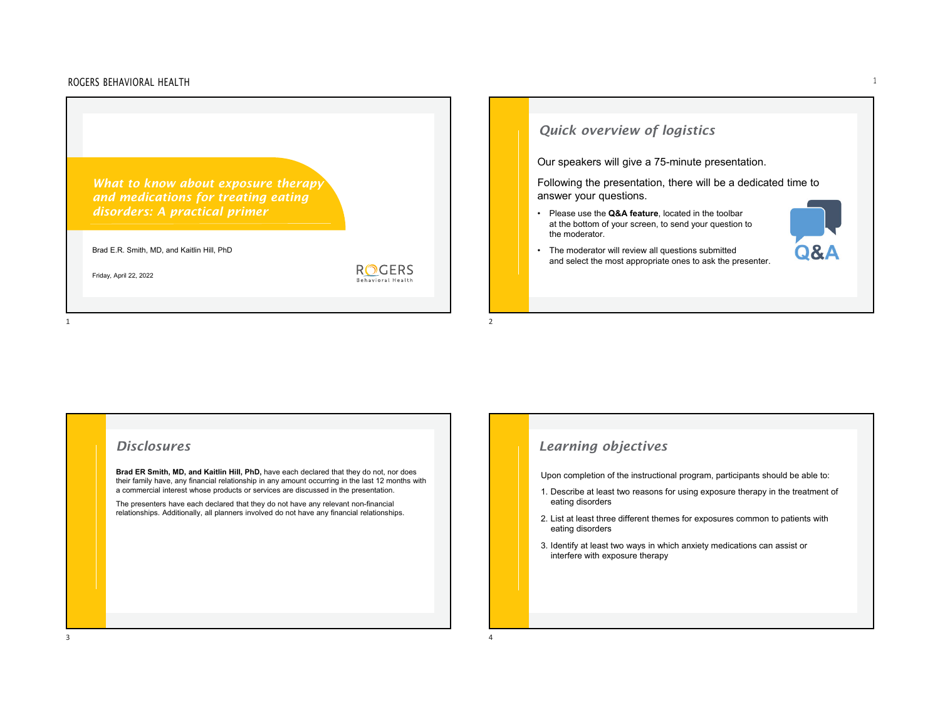*What to know about exposure therapy and medications for treating eating disorders: A practical primer* 

Brad E.R. Smith, MD, and Kaitlin Hill, PhD

Friday, April 22, 2022

1

**ROGERS** Behavioral Health

# *Quick overview of logistics*

Our speakers will give a 75-minute presentation.

Following the presentation, there will be a dedicated time to answer your questions.

• Please use the **Q&A feature**, located in the toolbar at the bottom of your screen, to send your question to the moderator.

• The moderator will review all questions submitted

- $\bf{A}$ and select the most appropriate ones to ask the presenter.
- 

### *Disclosures*

**Brad ER Smith, MD, and Kaitlin Hill, PhD,** have each declared that they do not, nor does their family have, any financial relationship in any amount occurring in the last 12 months with a commercial interest whose products or services are discussed in the presentation.

 $\frac{1}{2}$ 

The presenters have each declared that they do not have any relevant non-financial relationships. Additionally, all planners involved do not have any financial relationships.

# *Learning objectives*

Upon completion of the instructional program, participants should be able to:

- 1. Describe at least two reasons for using exposure therapy in the treatment of eating disorders
- 2. List at least three different themes for exposures common to patients with eating disorders
- 3. Identify at least two ways in which anxiety medications can assist or interfere with exposure therapy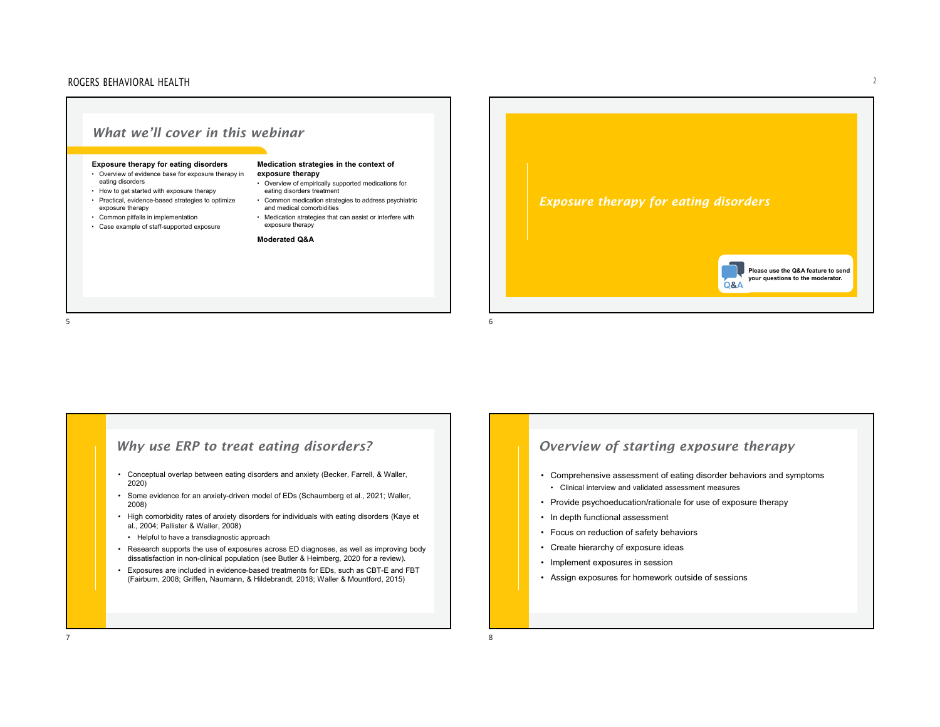#### ROGERS BEHAVIORAL HEALTHH  $\overline{a}$



### *Why use ERP to treat eating disorders?*

- Conceptual overlap between eating disorders and anxiety (Becker, Farrell, & Waller, 2020)
- Some evidence for an anxiety-driven model of EDs (Schaumberg et al., 2021; Waller, 2008)
- High comorbidity rates of anxiety disorders for individuals with eating disorders (Kaye et al., 2004; Pallister & Waller, 2008)
- •Helpful to have a transdiagnostic approach

7

• Research supports the use of exposures across ED diagnoses, as well as improving body dissatisfaction in non-clinical population (see Butler & Heimberg, 2020 for a review).

8

• Exposures are included in evidence-based treatments for EDs, such as CBT-E and FBT (Fairburn, 2008; Griffen, Naumann, & Hildebrandt, 2018; Waller & Mountford, 2015)

# *Overview of starting exposure therapy*

- Comprehensive assessment of eating disorder behaviors and symptoms
	- Clinical interview and validated assessment measures
- Provide psychoeducation/rationale for use of exposure therapy
- In depth functional assessment
- Focus on reduction of safety behaviors
- Create hierarchy of exposure ideas
- Implement exposures in session
- Assign exposures for homework outside of sessions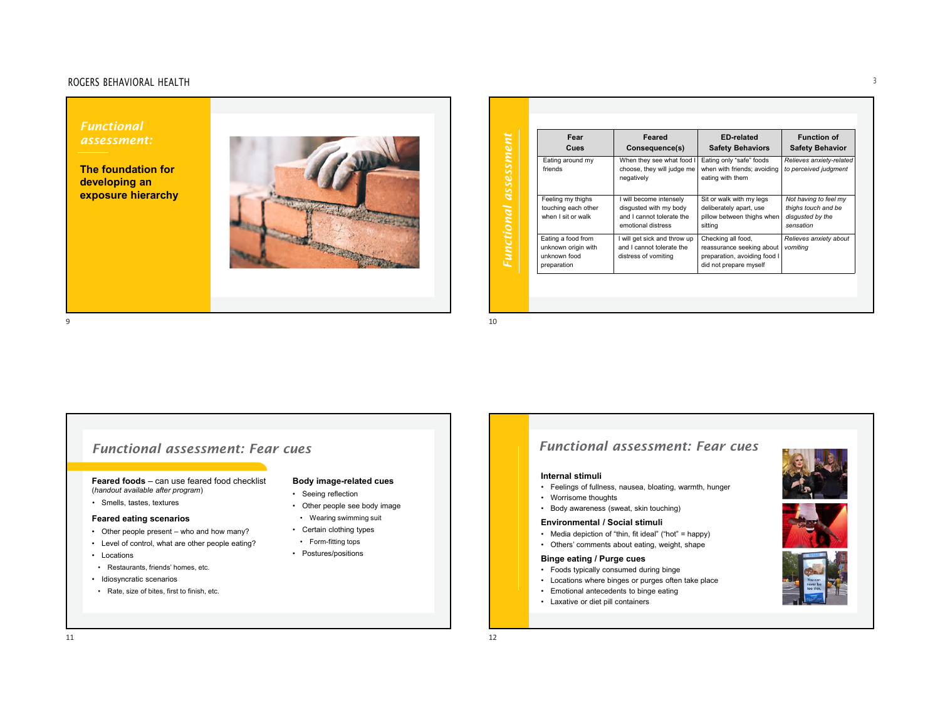#### ROGERS BEHAVIORAL HEALTH $\mathsf H$

*Functional assessment:* 

**The foundation for developing an exposure hierarchy**



| Fear<br>Cues                                                             | Feared<br>Consequence(s)                                                                             | <b>ED-related</b><br><b>Safety Behaviors</b>                                                              | <b>Function of</b><br><b>Safety Behavior</b>                                  |
|--------------------------------------------------------------------------|------------------------------------------------------------------------------------------------------|-----------------------------------------------------------------------------------------------------------|-------------------------------------------------------------------------------|
| Eating around my<br>friends                                              | When they see what food I<br>choose, they will judge me<br>negatively                                | Eating only "safe" foods<br>when with friends; avoiding<br>eating with them                               | Relieves anxiety-related<br>to perceived judgment                             |
| Feeling my thighs<br>touching each other<br>when I sit or walk           | I will become intensely<br>disgusted with my body<br>and I cannot tolerate the<br>emotional distress | Sit or walk with my legs<br>deliberately apart, use<br>pillow between thighs when<br>sittina              | Not having to feel my<br>thighs touch and be<br>disgusted by the<br>sensation |
| Eating a food from<br>unknown origin with<br>unknown food<br>preparation | I will get sick and throw up<br>and I cannot tolerate the<br>distress of vomiting                    | Checking all food,<br>reassurance seeking about<br>preparation, avoiding food I<br>did not prepare myself | Relieves anxiety about<br>vomitina                                            |

 $9$ 

# *Functional assessment: Fear cues*

**Feared foods** – can use feared food checklist (*handout available after program*)

• Smells, tastes, textures

#### **Feared eating scenarios**

- Other people present who and how many?
- Level of control, what are other people eating?
- Locations
- Restaurants, friends' homes, etc.
- Idiosyncratic scenarios
- Rate, size of bites, first to finish, etc.

#### **Body image-related cues**

- Seeing reflection
- Other people see body image
- Wearing swimming suit
- Certain clothing types
- Form-fitting tops
- Postures/positions

# *Functional assessment: Fear cues*

#### **Internal stimuli**

- Feelings of fullness, nausea, bloating, warmth, hunger
- Worrisome thoughts
- Body awareness (sweat, skin touching)

#### **Environmental / Social stimuli**

- Media depiction of "thin, fit ideal" ("hot" = happy)
- Others' comments about eating, weight, shape

#### **Binge eating / Purge cues**

- Foods typically consumed during binge
- Locations where binges or purges often take place
- Emotional antecedents to binge eating
- Laxative or diet pill containers







9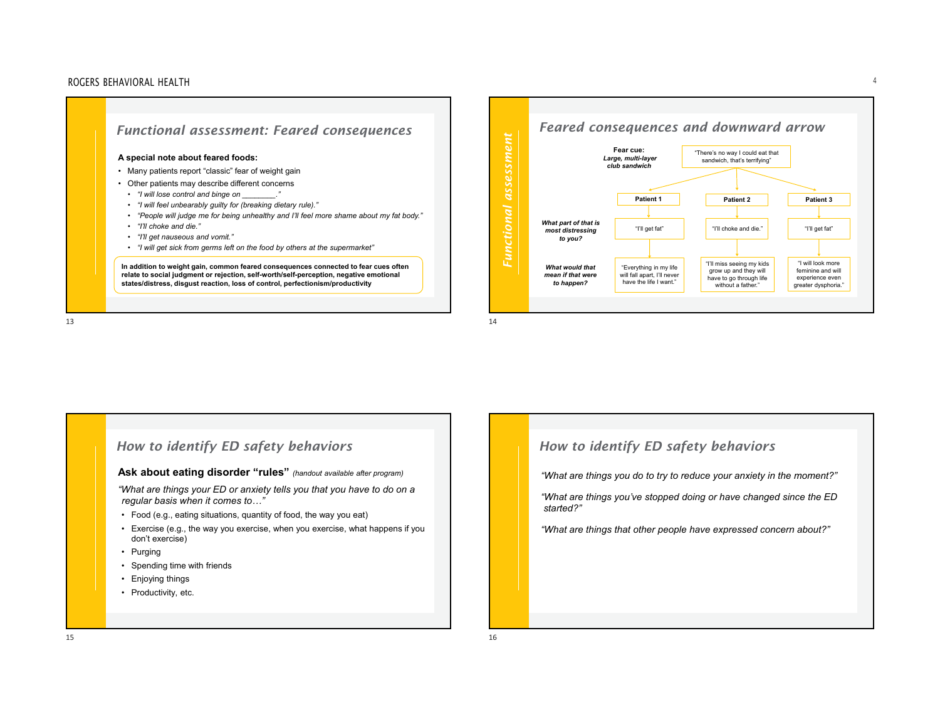





# *How to identify ED safety behaviors*

#### **Ask about eating disorder "rules"** *(handout available after program)*

*"What are things your ED or anxiety tells you that you have to do on a regular basis when it comes to…"*

- Food (e.g., eating situations, quantity of food, the way you eat)
- Exercise (e.g., the way you exercise, when you exercise, what happens if you don't exercise)
- Purging
- Spending time with friends
- Enjoying things
- Productivity, etc.

# *How to identify ED safety behaviors*

*"What are things you do to try to reduce your anxiety in the moment?"* 

*"What are things you've stopped doing or have changed since the ED started?"*

*"What are things that other people have expressed concern about?"*

 $\mathsf H$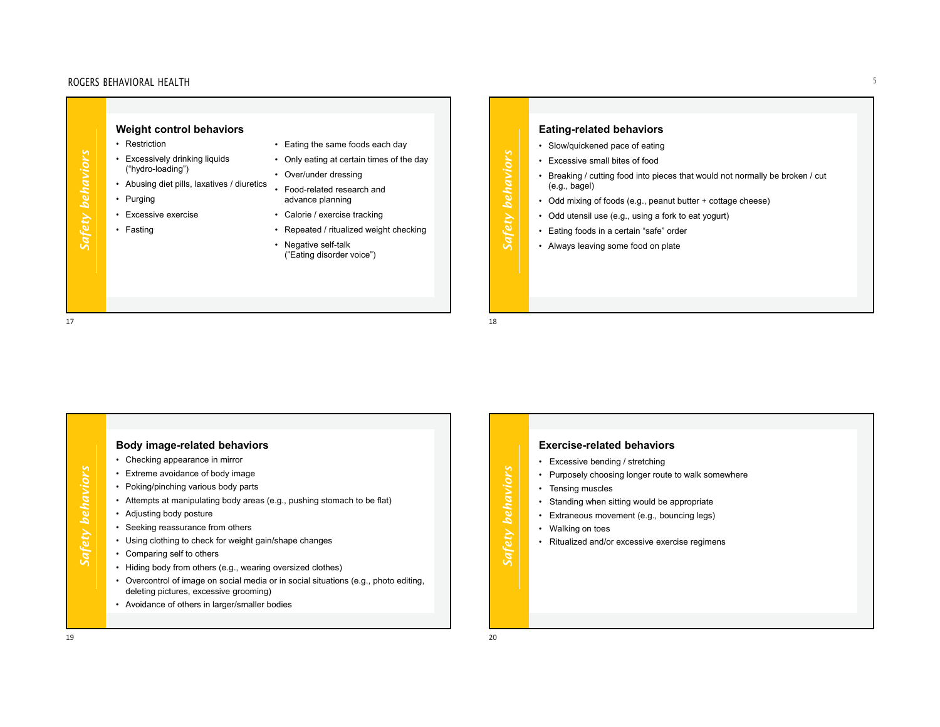|                  | Weight control behaviors                       |                                                   |
|------------------|------------------------------------------------|---------------------------------------------------|
|                  | Restriction<br>٠                               | • Eating the same foods each day                  |
| Safety behaviors | • Excessively drinking liquids                 | • Only eating at certain times of the day         |
|                  | ("hydro-loading")                              | Over/under dressing                               |
|                  | Abusing diet pills, laxatives / diuretics<br>٠ | Food-related research and<br>٠                    |
|                  | Purging                                        | advance planning                                  |
|                  | Excessive exercise                             | • Calorie / exercise tracking                     |
|                  | Fasting                                        | Repeated / ritualized weight checking             |
|                  |                                                | • Negative self-talk<br>("Eating disorder voice") |
|                  |                                                |                                                   |

| <b>Weight control behaviors</b><br>• Restriction<br>Eating the same foods each day<br>Excessively drinking liquids<br>• Only eating at certain times of the day<br>("hydro-loading")<br>Over/under dressing<br>Abusing diet pills, laxatives / diuretics<br>• Food-related research and<br>• Purging<br>advance planning<br>Excessive exercise<br>Calorie / exercise tracking<br>$\bullet$<br><b>Safe</b><br>Fasting<br>Repeated / ritualized weight checking<br>$\bullet$<br>• Negative self-talk<br>("Eating disorder voice") | <b>Eating-related behaviors</b><br>• Slow/quickened pace of eating<br>behaviors<br>• Excessive small bites of food<br>• Breaking / cutting food into pieces that would not normally be broken / cut<br>(e.g., bage)<br>• Odd mixing of foods (e.g., peanut butter + cottage cheese)<br>Safety<br>• Odd utensil use (e.g., using a fork to eat yogurt)<br>• Eating foods in a certain "safe" order<br>• Always leaving some food on plate<br>18 |  |
|---------------------------------------------------------------------------------------------------------------------------------------------------------------------------------------------------------------------------------------------------------------------------------------------------------------------------------------------------------------------------------------------------------------------------------------------------------------------------------------------------------------------------------|------------------------------------------------------------------------------------------------------------------------------------------------------------------------------------------------------------------------------------------------------------------------------------------------------------------------------------------------------------------------------------------------------------------------------------------------|--|
|---------------------------------------------------------------------------------------------------------------------------------------------------------------------------------------------------------------------------------------------------------------------------------------------------------------------------------------------------------------------------------------------------------------------------------------------------------------------------------------------------------------------------------|------------------------------------------------------------------------------------------------------------------------------------------------------------------------------------------------------------------------------------------------------------------------------------------------------------------------------------------------------------------------------------------------------------------------------------------------|--|

# **Body image-related behaviors**

- Checking appearance in mirror
- Extreme avoidance of body image
- Poking/pinching various body parts
- Attempts at manipulating body areas (e.g., pushing stomach to be flat)
- Adjusting body posture
- Seeking reassurance from others
- Using clothing to check for weight gain/shape changes
- Comparing self to others
- Hiding body from others (e.g., wearing oversized clothes)
- Overcontrol of image on social media or in social situations (e.g., photo editing, deleting pictures, excessive grooming)
- Avoidance of others in larger/smaller bodies

### **Exercise-related behaviors**

- Excessive bending / stretching
- Purposely choosing longer route to walk somewhere
- Tensing muscles
- Standing when sitting would be appropriate
- Extraneous movement (e.g., bouncing legs)
- Walking on toes

*Safety behaviors*

Safety behaviors

• Ritualized and/or excessive exercise regimens

*Safety behaviors*

Safety behaviors

17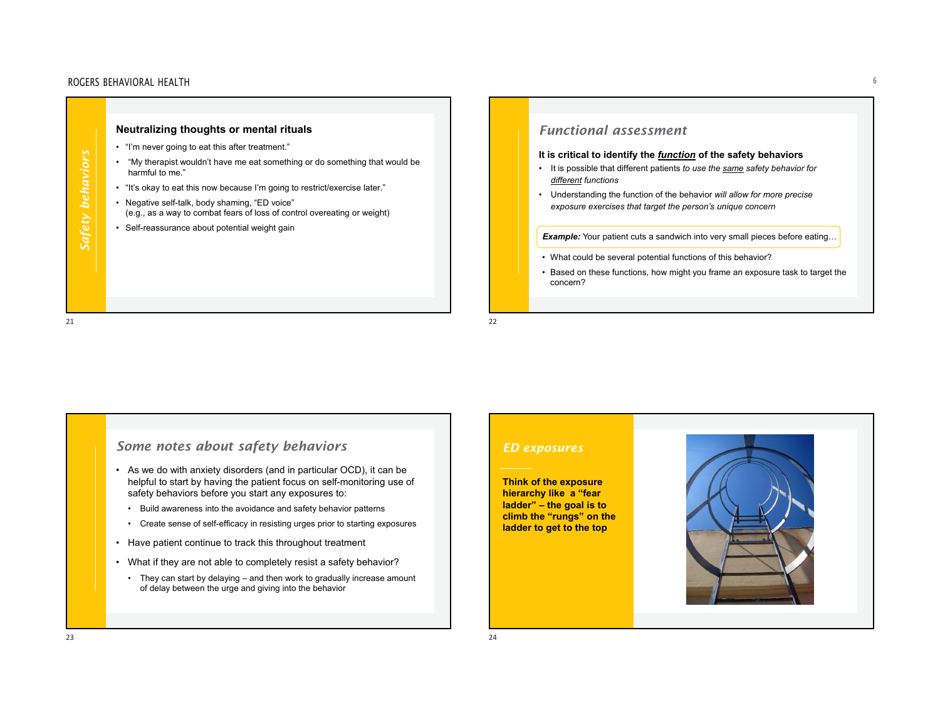#### ROGERS BEHAVIORAL HEALTH $\mathsf H$



# *Some notes about safety behaviors*

- As we do with anxiety disorders (and in particular OCD), it can be helpful to start by having the patient focus on self-monitoring use of safety behaviors before you start any exposures to:
	- Build awareness into the avoidance and safety behavior patterns
	- Create sense of self-efficacy in resisting urges prior to starting exposures
- Have patient continue to track this throughout treatment
- What if they are not able to completely resist a safety behavior?
- They can start by delaying and then work to gradually increase amount of delay between the urge and giving into the behavior

### *ED exposures*

**Think of the exposure hierarchy like a "fear ladder" – the goal is to climb the "rungs" on the ladder to get to the top**

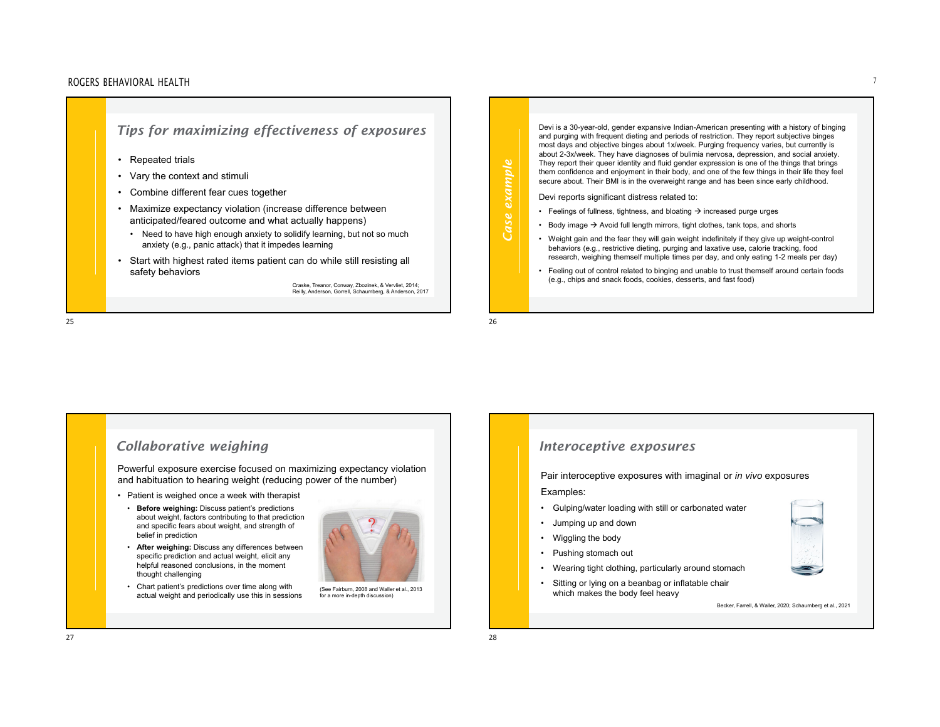#### ROGERS BEHAVIORAL HEALTHH  $\overline{a}$



Devi is a 30-year-old, gender expansive Indian-American presenting with a history of binging and purging with frequent dieting and periods of restriction. They report subjective binges most days and objective binges about 1x/week. Purging frequency varies, but currently is about 2-3x/week. They have diagnoses of bulimia nervosa, depression, and social anxiety. They report their queer identity and fluid gender expression is one of the things that brings them confidence and enjoyment in their body, and one of the few things in their life they feel secure about. Their BMI is in the overweight range and has been since early childhood. Devi reports significant distress related to: • Feelings of fullness, tightness, and bloating  $\rightarrow$  increased purge urges • Body image  $\Rightarrow$  Avoid full length mirrors, tight clothes, tank tops, and shorts • Weight gain and the fear they will gain weight indefinitely if they give up weight-control behaviors (e.g., restrictive dieting, purging and laxative use, calorie tracking, food research, weighing themself multiple times per day, and only eating 1-2 meals per day) • Feeling out of control related to binging and unable to trust themself around certain foods (e.g., chips and snack foods, cookies, desserts, and fast food)

2526

## *Collaborative weighing*

Powerful exposure exercise focused on maximizing expectancy violation and habituation to hearing weight (reducing power of the number)

- Patient is weighed once a week with therapist
	- **Before weighing:** Discuss patient's predictions about weight, factors contributing to that prediction and specific fears about weight, and strength of belief in prediction

 **After weighing:** Discuss any differences between specific prediction and actual weight, elicit any helpful reasoned conclusions, in the moment



• Chart patient's predictions over time along with actual weight and periodically use this in sessions

thought challenging

(See Fairburn, 2008 and Waller et al., 2013 for a more in-depth discussion)

### *Interoceptive exposures*

Pair interoceptive exposures with imaginal or *in vivo* exposures

#### Examples:

- Gulping/water loading with still or carbonated water
- Jumping up and down
- Wiggling the body
- Pushing stomach out
- Wearing tight clothing, particularly around stomach
- Sitting or lying on a beanbag or inflatable chair which makes the body feel heavy

*Case example*

Case example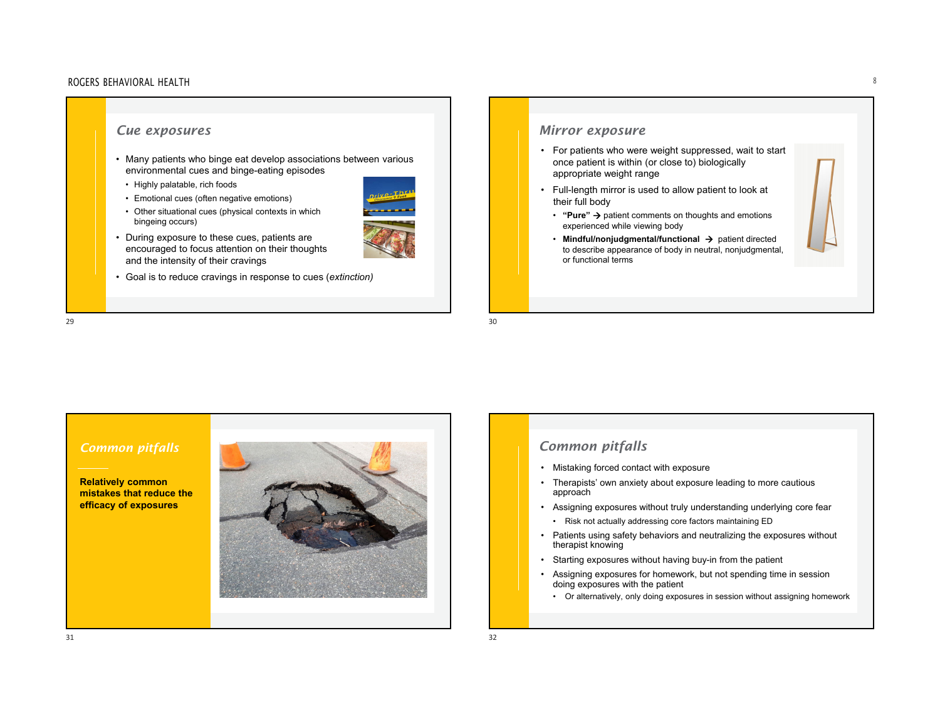# *Cue exposures*

- Many patients who binge eat develop associations between various environmental cues and binge-eating episodes
- Highly palatable, rich foods
- Emotional cues (often negative emotions)
- Other situational cues (physical contexts in which bingeing occurs)
- During exposure to these cues, patients are encouraged to focus attention on their thoughts and the intensity of their cravings
- Goal is to reduce cravings in response to cues (*extinction)*

### *Mirror exposure*

- For patients who were weight suppressed, wait to start once patient is within (or close to) biologically appropriate weight range
- Full-length mirror is used to allow patient to look at their full body
	- **"Pure"**  patient comments on thoughts and emotions experienced while viewing body
	- Mindful/nonjudgmental/functional → patient directed to describe appearance of body in neutral, nonjudgmental, or functional terms

**Relatively common mistakes that reduce the efficacy of exposures**



- Mistaking forced contact with exposure
- Therapists' own anxiety about exposure leading to more cautious approach
- Assigning exposures without truly understanding underlying core fear
	- Risk not actually addressing core factors maintaining ED
- Patients using safety behaviors and neutralizing the exposures without therapist knowing
- Starting exposures without having buy-in from the patient
- Assigning exposures for homework, but not spending time in session doing exposures with the patient
	- Or alternatively, only doing exposures in session without assigning homework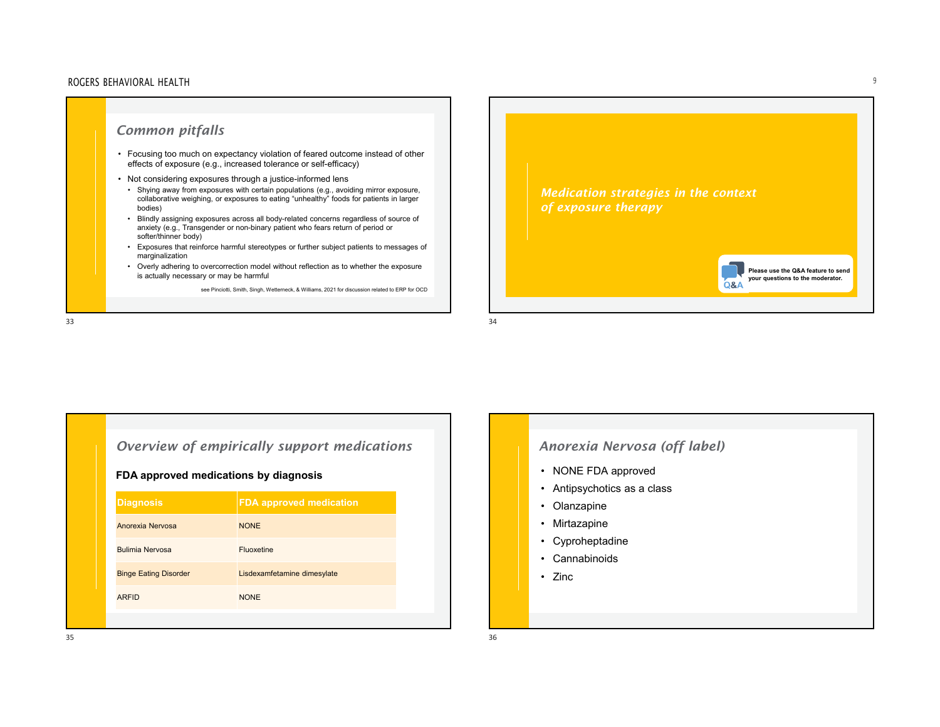#### ROGERS BEHAVIORAL HEALTHн на основаната на селото на селото на селото на селото на селото на селото на селото на селото на селото на с<br>Населението на селото на селото на селото на селото на селото на селото на селото на селото на селото на селот





# *Overview of empirically support medications* **FDA approved medications by diagnosis**

| <b>Diagnosis</b>             | <b>FDA approved medication</b> |
|------------------------------|--------------------------------|
| Anorexia Nervosa             | <b>NONE</b>                    |
| <b>Bulimia Nervosa</b>       | Fluoxetine                     |
| <b>Binge Eating Disorder</b> | Lisdexamfetamine dimesylate    |
| <b>ARFID</b>                 | <b>NONE</b>                    |
|                              |                                |

# *Anorexia Nervosa (off label)*

- NONE FDA approved
- Antipsychotics as a class
- Olanzapine
- Mirtazapine
- Cyproheptadine
- Cannabinoids
- Zinc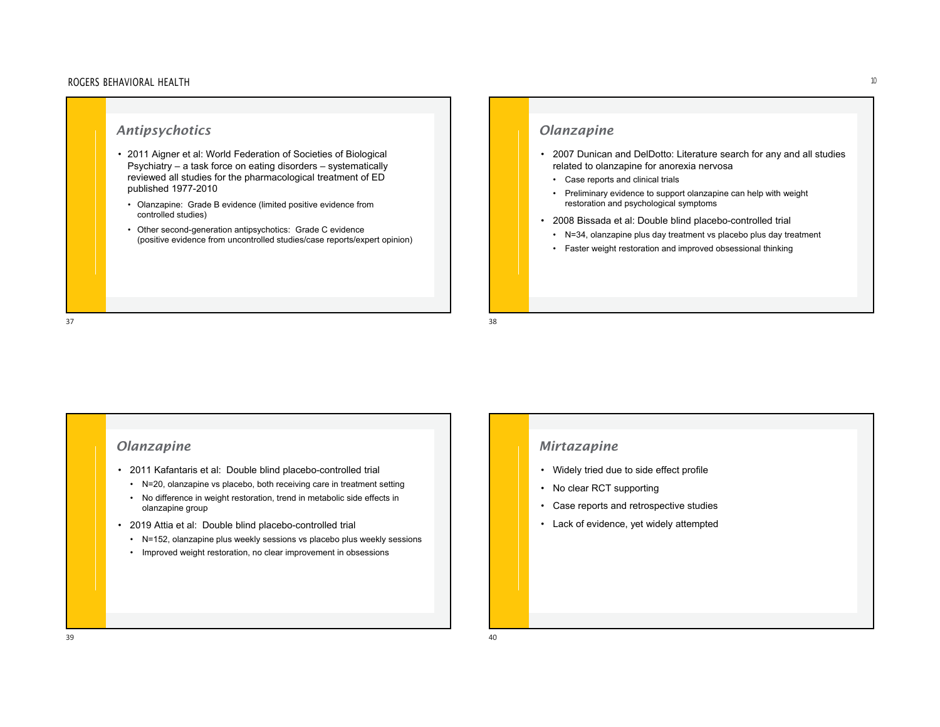#### ROGERS BEHAVIORAL HEALTH $\mathsf{H}$

# *Antipsychotics*  • 2011 Aigner et al: World Federation of Societies of Biological Psychiatry – <sup>a</sup> task force on eating disorders – systematically reviewed all studies for the pharmacological treatment of ED published 1977-2010 • Olanzapine: Grade B evidence (limited positive evidence from controlled studies) • Other second-generation antipsychotics: Grade C evidence (positive evidence from uncontrolled studies/case reports/expert opinion)

# *Olanzapine*

- 2007 Dunican and DelDotto: Literature search for any and all studies related to olanzapine for anorexia nervosa
	- Case reports and clinical trials
	- Preliminary evidence to support olanzapine can help with weight restoration and psychological symptoms
- 2008 Bissada et al: Double blind placebo-controlled trial
	- N=34, olanzapine plus day treatment vs placebo plus day treatment
	- Faster weight restoration and improved obsessional thinking

# *Olanzapine*

- 2011 Kafantaris et al: Double blind placebo-controlled trial
- N=20, olanzapine vs placebo, both receiving care in treatment setting
- No difference in weight restoration, trend in metabolic side effects in olanzapine group
- 2019 Attia et al: Double blind placebo-controlled trial
- N=152, olanzapine plus weekly sessions vs placebo plus weekly sessions
- Improved weight restoration, no clear improvement in obsessions

### *Mirtazapine*

- Widely tried due to side effect profile
- No clear RCT supporting
- Case reports and retrospective studies
- Lack of evidence, yet widely attempted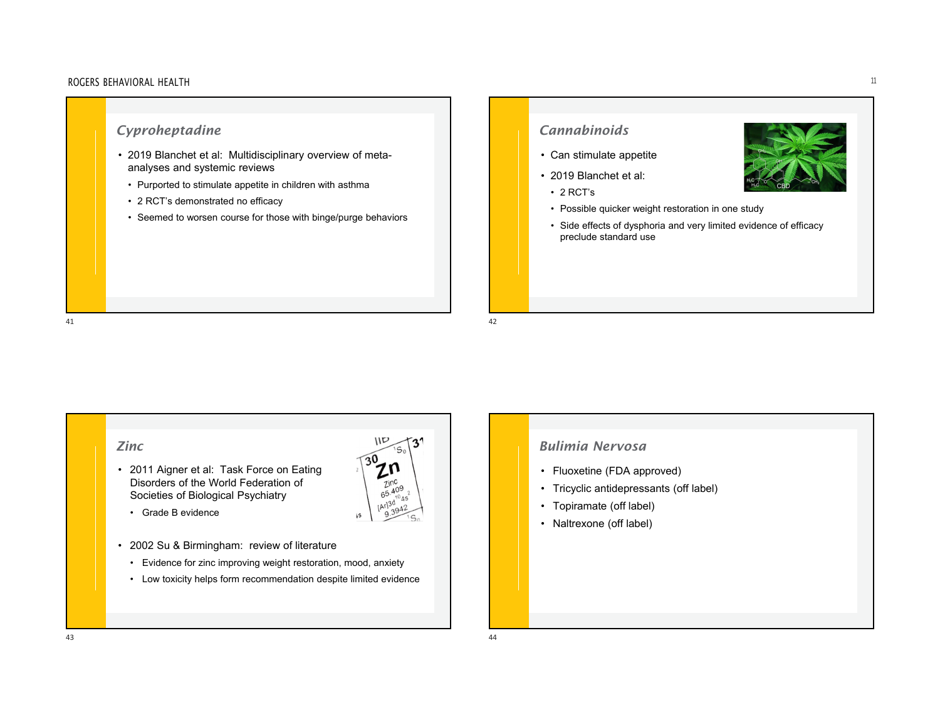#### ROGERS BEHAVIORAL HEALTH $\mathsf{H}$

# *Cyproheptadine*

- 2019 Blanchet et al: Multidisciplinary overview of metaanalyses and systemic reviews
- Purported to stimulate appetite in children with asthma
- 2 RCT's demonstrated no efficacy
- Seemed to worsen course for those with binge/purge behaviors

# *Cannabinoids*

- Can stimulate appetite
- 2019 Blanchet et al:
	- 2 RCT's
	- Possible quicker weight restoration in one study
- Side effects of dysphoria and very limited evidence of efficacy preclude standard use

- 2011 Aigner et al: Task Force on Eating Disorders of the World Federation of Societies of Biological Psychiatry
	- Grade B evidence
- 2002 Su & Birmingham: review of literature
	- Evidence for zinc improving weight restoration, mood, anxiety
- Low toxicity helps form recommendation despite limited evidence

**IID** 

zinc  $65.409$  $10Ac$ 

١s

 $3<sup>1</sup>$ 



- Fluoxetine (FDA approved)
- Tricyclic antidepressants (off label)
- Topiramate (off label)
- Naltrexone (off label)

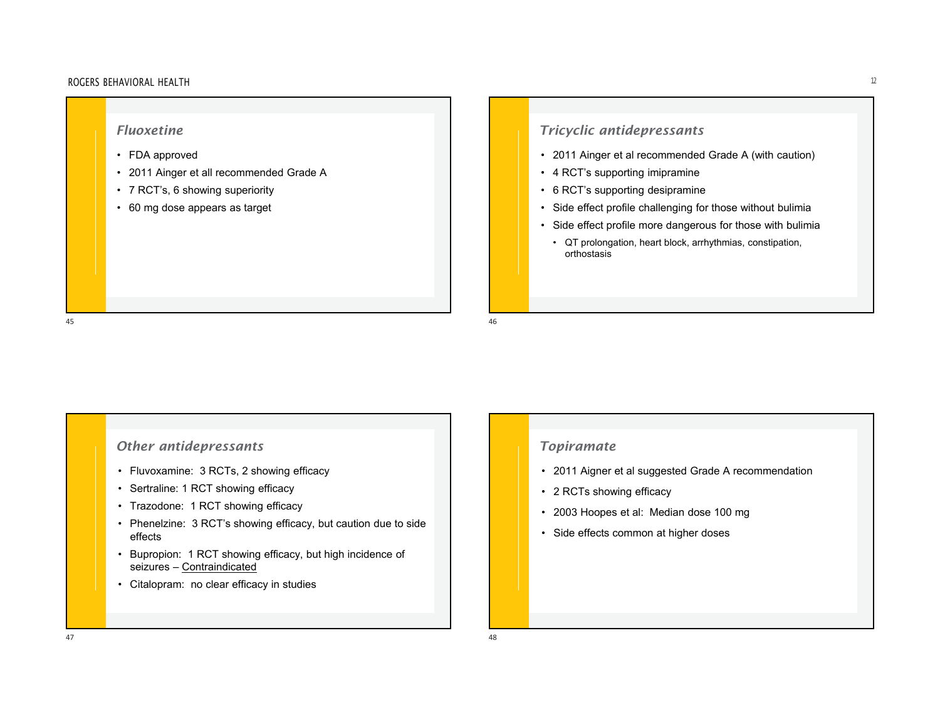

# *Tricyclic antidepressants*

- 2011 Ainger et al recommended Grade A (with caution)
- 4 RCT's supporting imipramine
- 6 RCT's supporting desipramine
- Side effect profile challenging for those without bulimia
- Side effect profile more dangerous for those with bulimia
- QT prolongation, heart block, arrhythmias, constipation, orthostasis

## *Other antidepressants*

- Fluvoxamine: 3 RCTs, 2 showing efficacy
- Sertraline: 1 RCT showing efficacy
- Trazodone: 1 RCT showing efficacy
- Phenelzine: 3 RCT's showing efficacy, but caution due to side effects
- Bupropion: 1 RCT showing efficacy, but high incidence of seizures – <u>Contraindicated</u>
- Citalopram: no clear efficacy in studies

### *Topiramate*

- 2011 Aigner et al suggested Grade A recommendation
- 2 RCTs showing efficacy
- 2003 Hoopes et al: Median dose 100 mg
- Side effects common at higher doses

47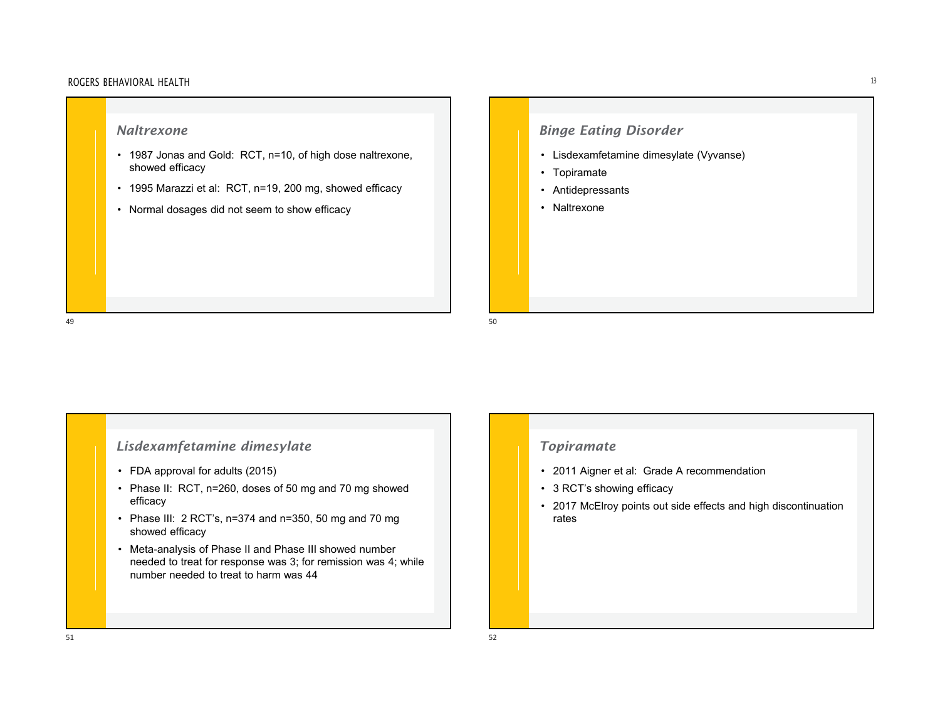## *Naltrexone*

- 1987 Jonas and Gold: RCT, n=10, of high dose naltrexone, showed efficacy
- 1995 Marazzi et al: RCT, n=19, 200 mg, showed efficacy
- Normal dosages did not seem to show efficacy

# *Binge Eating Disorder*

- Lisdexamfetamine dimesylate (Vyvanse)
- Topiramate
- Antidepressants
- Naltrexone

# *Lisdexamfetamine dimesylate*

- FDA approval for adults (2015)
- Phase II: RCT, n=260, doses of 50 mg and 70 mg showed efficacy
- Phase III: 2 RCT's, n=374 and n=350, 50 mg and 70 mg showed efficacy
- Meta-analysis of Phase II and Phase III showed number needed to treat for response was 3; for remission was 4; while number needed to treat to harm was 44

# *Topiramate*

- 2011 Aigner et al: Grade A recommendation
- 3 RCT's showing efficacy
- 2017 McElroy points out side effects and high discontinuation rates

 $1\,$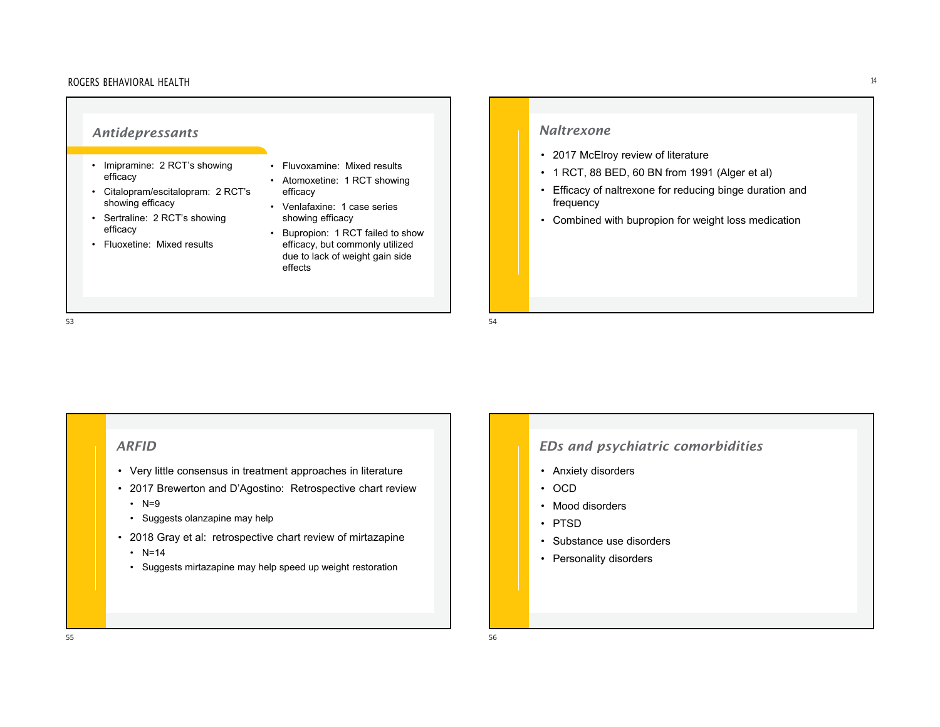#### • Imipramine: 2 RCT's showing efficacy • Citalopram/escitalopram: 2 RCT's showing efficacy • Sertraline: 2 RCT's showing efficacy • Fluoxetine: Mixed results• Fluvoxamine: Mixed results• Atomoxetine: 1 RCT showing efficacy • Venlafaxine: 1 case series showing efficacy • Bupropion: 1 RCT failed to show efficacy, but commonly utilized due to lack of weight gain side effects*Antidepressants Naltrexone*

#### 53

*ARFID*

- Very little consensus in treatment approaches in literature
- 2017 Brewerton and D'Agostino: Retrospective chart review
- N=9
- Suggests olanzapine may help
- 2018 Gray et al: retrospective chart review of mirtazapine
- N=14
- Suggests mirtazapine may help speed up weight restoration

- 2017 McElroy review of literature
- 1 RCT, 88 BED, 60 BN from 1991 (Alger et al)
- Efficacy of naltrexone for reducing binge duration and frequency
- Combined with bupropion for weight loss medication

#### $3$

## *EDs and psychiatric comorbidities*

- Anxiety disorders
- OCD
- Mood disorders
- PTSD
- Substance use disorders
- Personality disorders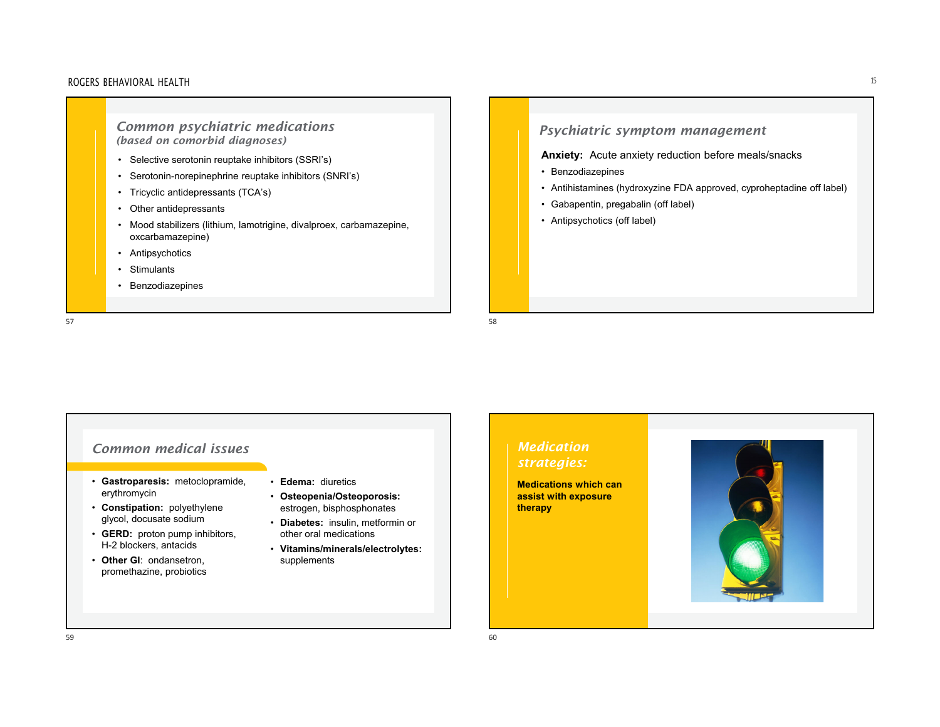*Common psychiatric medications (based on comorbid diagnoses)*

- Selective serotonin reuptake inhibitors (SSRI's)
- •Serotonin-norepinephrine reuptake inhibitors (SNRI's)
- •Tricyclic antidepressants (TCA's)
- Other antidepressants
- Mood stabilizers (lithium, lamotrigine, divalproex, carbamazepine, oxcarbamazepine)
- Antipsychotics
- •**Stimulants**
- Benzodiazepines

57discussed by the contract of the contract of the contract of the contract of the contract of the contract of the contract of the contract of the contract of the contract of the contract of the contract of the contract of t

# *Psychiatric symptom management*

**Anxiety:** Acute anxiety reduction before meals/snacks

- Benzodiazepines
- Antihistamines (hydroxyzine FDA approved, cyproheptadine off label)
- Gabapentin, pregabalin (off label)
- Antipsychotics (off label)

#### • **Gastroparesis:** metoclopramide, erythromycin • **Constipation:** polyethylene glycol, docusate sodium • **GERD:** proton pump inhibitors, H-2 blockers, antacids • **Other GI**: ondansetron, promethazine, probiotics • **Edema:** diuretics• **Osteopenia/Osteoporosis:**  estrogen, bisphosphonates • **Diabetes:** insulin, metformin or other oral medications • **Vitamins/minerals/electrolytes:**  supplements *Common medical issues Medication strategies:* **Medications which can assist with exposure therapy**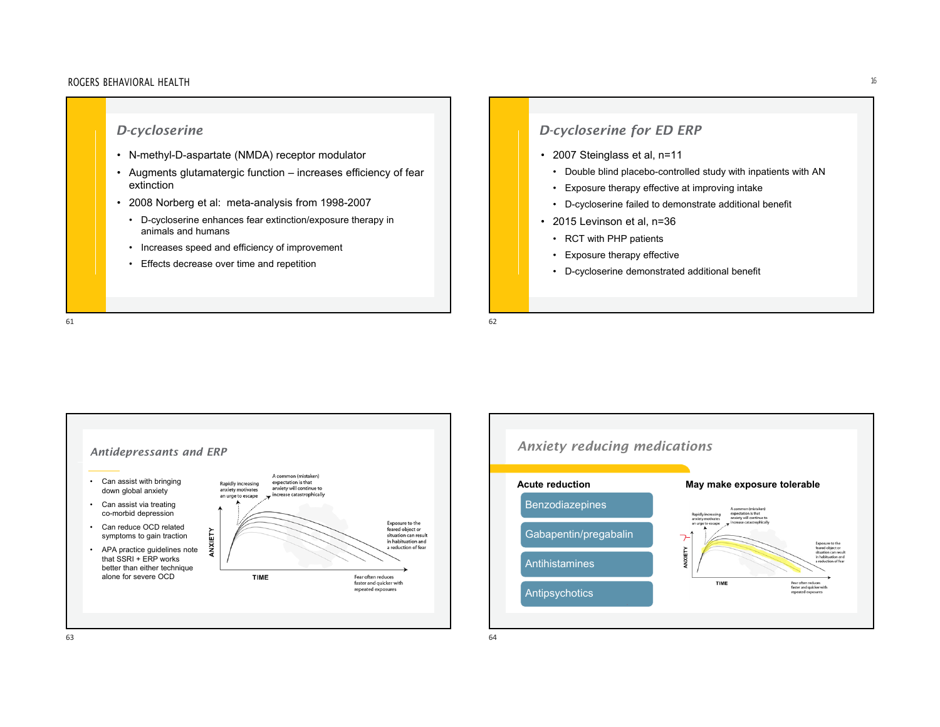# *D-cycloserine* • N-methyl-D-aspartate (NMDA) receptor modulator • Augments glutamatergic function – increases efficiency of fear extinction• 2008 Norberg et al: meta-analysis from 1998-2007 • D-cycloserine enhances fear extinction/exposure therapy in animals and humans• Increases speed and efficiency of improvement • Effects decrease over time and repetition

# *D-cycloserine for ED ERP*

- 2007 Steinglass et al, n=11
	- Double blind placebo-controlled study with inpatients with AN
	- Exposure therapy effective at improving intake
	- D-cycloserine failed to demonstrate additional benefit
- 2015 Levinson et al, n=36
	- RCT with PHP patients
	- Exposure therapy effective
	- D-cycloserine demonstrated additional benefit

61 $\sim$  62



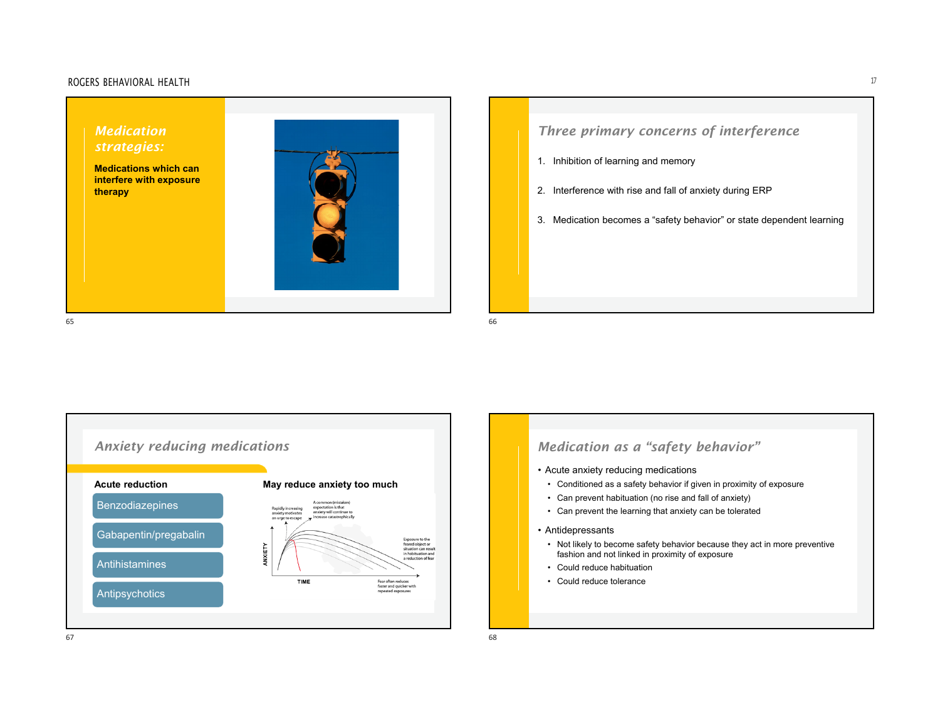#### ROGERS BEHAVIORAL HEALTHH and the contract of  $17$









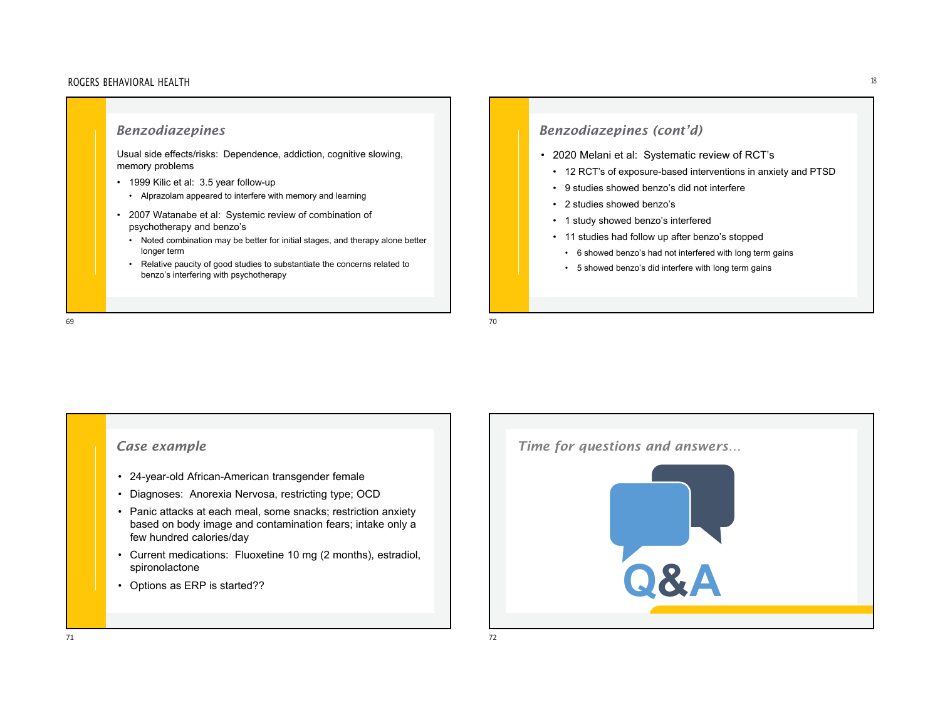### *Benzodiazepines*

Usual side effects/risks: Dependence, addiction, cognitive slowing, memory problems

- 1999 Kilic et al: 3.5 year follow-up
- Alprazolam appeared to interfere with memory and learning
- 2007 Watanabe et al: Systemic review of combination of psychotherapy and benzo's
	- Noted combination may be better for initial stages, and therapy alone better longer term
- Relative paucity of good studies to substantiate the concerns related to benzo's interfering with psychotherapy

#### 6970

# *Benzodiazepines (cont'd)*

- 2020 Melani et al: Systematic review of RCT's
	- 12 RCT's of exposure-based interventions in anxiety and PTSD
	- 9 studies showed benzo's did not interfere
	- 2 studies showed benzo's
	- 1 study showed benzo's interfered
	- 11 studies had follow up after benzo's stopped
		- 6 showed benzo's had not interfered with long term gains
		- 5 showed benzo's did interfere with long term gains